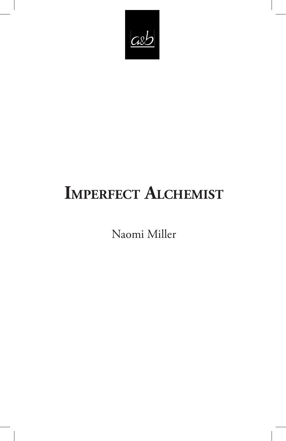

# **IMPERFECT ALCHEMIST**

Naomi Miller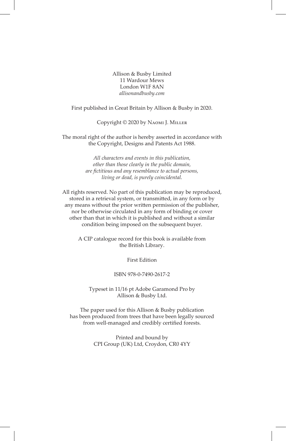Allison & Busby Limited 11 Wardour Mews London W1F 8AN *allisonandbusby.com*

First published in Great Britain by Allison & Busby in 2020.

Copyright © 2020 by Naomi J. Miller

The moral right of the author is hereby asserted in accordance with the Copyright, Designs and Patents Act 1988.

> *All characters and events in this publication, other than those clearly in the public domain, are fictitious and any resemblance to actual persons, living or dead, is purely coincidental.*

All rights reserved. No part of this publication may be reproduced, stored in a retrieval system, or transmitted, in any form or by any means without the prior written permission of the publisher, nor be otherwise circulated in any form of binding or cover other than that in which it is published and without a similar condition being imposed on the subsequent buyer.

> A CIP catalogue record for this book is available from the British Library.

> > First Edition

#### ISBN 978-0-7490-2617-2

Typeset in 11/16 pt Adobe Garamond Pro by Allison & Busby Ltd.

The paper used for this Allison & Busby publication has been produced from trees that have been legally sourced from well-managed and credibly certified forests.

> Printed and bound by CPI Group (UK) Ltd, Croydon, CR0 4YY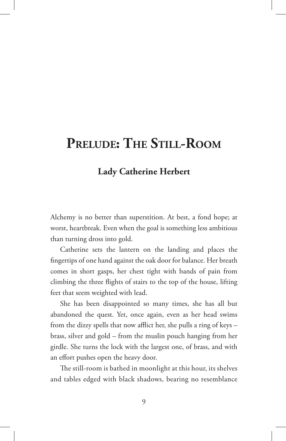## **Prelude: The Still-Room**

#### **Lady Catherine Herbert**

Alchemy is no better than superstition. At best, a fond hope; at worst, heartbreak. Even when the goal is something less ambitious than turning dross into gold.

Catherine sets the lantern on the landing and places the fingertips of one hand against the oak door for balance. Her breath comes in short gasps, her chest tight with bands of pain from climbing the three flights of stairs to the top of the house, lifting feet that seem weighted with lead.

She has been disappointed so many times, she has all but abandoned the quest. Yet, once again, even as her head swims from the dizzy spells that now afflict her, she pulls a ring of keys – brass, silver and gold – from the muslin pouch hanging from her girdle. She turns the lock with the largest one, of brass, and with an effort pushes open the heavy door.

The still-room is bathed in moonlight at this hour, its shelves and tables edged with black shadows, bearing no resemblance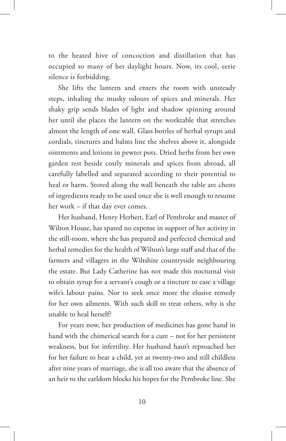to the heated hive of concoction and distillation that has occupied so many of her daylight hours. Now, its cool, eerie silence is forbidding.

She lifts the lantern and enters the room with unsteady steps, inhaling the musky odours of spices and minerals. Her shaky grip sends blades of light and shadow spinning around her until she places the lantern on the worktable that stretches almost the length of one wall. Glass bottles of herbal syrups and cordials, tinctures and balms line the shelves above it, alongside ointments and lotions in pewter pots. Dried herbs from her own garden rest beside costly minerals and spices from abroad, all carefully labelled and separated according to their potential to heal or harm. Stored along the wall beneath the table are chests of ingredients ready to be used once she is well enough to resume her work – if that day ever comes.

Her husband, Henry Herbert, Earl of Pembroke and master of Wilton House, has spared no expense in support of her activity in the still-room, where she has prepared and perfected chemical and herbal remedies for the health of Wilton's large staff and that of the farmers and villagers in the Wiltshire countryside neighbouring the estate. But Lady Catherine has not made this nocturnal visit to obtain syrup for a servant's cough or a tincture to ease a village wife's labour pains. Nor to seek once more the elusive remedy for her own ailments. With such skill to treat others, why is she unable to heal herself?

For years now, her production of medicines has gone hand in hand with the chimerical search for a cure – not for her persistent weakness, but for infertility. Her husband hasn't reproached her for her failure to bear a child, yet at twenty-two and still childless after nine years of marriage, she is all too aware that the absence of an heir to the earldom blocks his hopes for the Pembroke line. She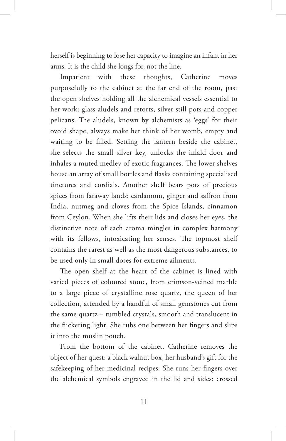herself is beginning to lose her capacity to imagine an infant in her arms. It is the child she longs for, not the line.

Impatient with these thoughts, Catherine moves purposefully to the cabinet at the far end of the room, past the open shelves holding all the alchemical vessels essential to her work: glass aludels and retorts, silver still pots and copper pelicans. The aludels, known by alchemists as 'eggs' for their ovoid shape, always make her think of her womb, empty and waiting to be filled. Setting the lantern beside the cabinet, she selects the small silver key, unlocks the inlaid door and inhales a muted medley of exotic fragrances. The lower shelves house an array of small bottles and flasks containing specialised tinctures and cordials. Another shelf bears pots of precious spices from faraway lands: cardamom, ginger and saffron from India, nutmeg and cloves from the Spice Islands, cinnamon from Ceylon. When she lifts their lids and closes her eyes, the distinctive note of each aroma mingles in complex harmony with its fellows, intoxicating her senses. The topmost shelf contains the rarest as well as the most dangerous substances, to be used only in small doses for extreme ailments.

The open shelf at the heart of the cabinet is lined with varied pieces of coloured stone, from crimson-veined marble to a large piece of crystalline rose quartz, the queen of her collection, attended by a handful of small gemstones cut from the same quartz – tumbled crystals, smooth and translucent in the flickering light. She rubs one between her fingers and slips it into the muslin pouch.

From the bottom of the cabinet, Catherine removes the object of her quest: a black walnut box, her husband's gift for the safekeeping of her medicinal recipes. She runs her fingers over the alchemical symbols engraved in the lid and sides: crossed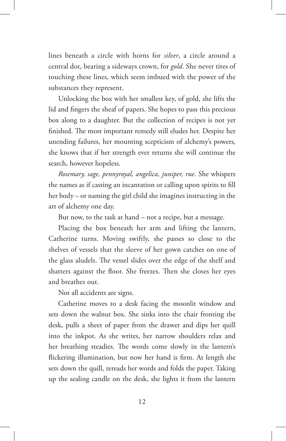lines beneath a circle with horns for *silver*, a circle around a central dot, bearing a sideways crown, for *gold*. She never tires of touching these lines, which seem imbued with the power of the substances they represent.

Unlocking the box with her smallest key, of gold, she lifts the lid and fingers the sheaf of papers. She hopes to pass this precious box along to a daughter. But the collection of recipes is not yet finished. The most important remedy still eludes her. Despite her unending failures, her mounting scepticism of alchemy's powers, she knows that if her strength ever returns she will continue the search, however hopeless.

*Rosemary, sage, pennyroyal, angelica, juniper, rue*. She whispers the names as if casting an incantation or calling upon spirits to fill her body – or naming the girl child she imagines instructing in the art of alchemy one day.

But now, to the task at hand – not a recipe, but a message.

Placing the box beneath her arm and lifting the lantern, Catherine turns. Moving swiftly, she passes so close to the shelves of vessels that the sleeve of her gown catches on one of the glass aludels. The vessel slides over the edge of the shelf and shatters against the floor. She freezes. Then she closes her eyes and breathes out.

Not all accidents are signs.

Catherine moves to a desk facing the moonlit window and sets down the walnut box. She sinks into the chair fronting the desk, pulls a sheet of paper from the drawer and dips her quill into the inkpot. As she writes, her narrow shoulders relax and her breathing steadies. The words come slowly in the lantern's flickering illumination, but now her hand is firm. At length she sets down the quill, rereads her words and folds the paper. Taking up the sealing candle on the desk, she lights it from the lantern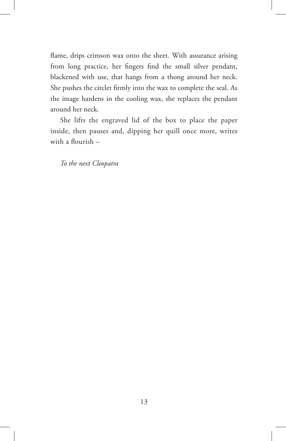flame, drips crimson wax onto the sheet. With assurance arising from long practice, her fingers find the small silver pendant, blackened with use, that hangs from a thong around her neck. She pushes the circlet firmly into the wax to complete the seal. As the image hardens in the cooling wax, she replaces the pendant around her neck.

She lifts the engraved lid of the box to place the paper inside, then pauses and, dipping her quill once more, writes with a flourish –

*To the next Cleopatra*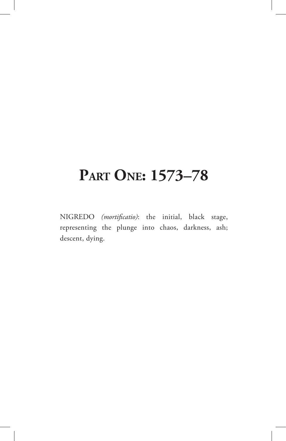## **Part One: 1573–78**

NIGREDO *(mortificatio)*: the initial, black stage, representing the plunge into chaos, darkness, ash; descent, dying.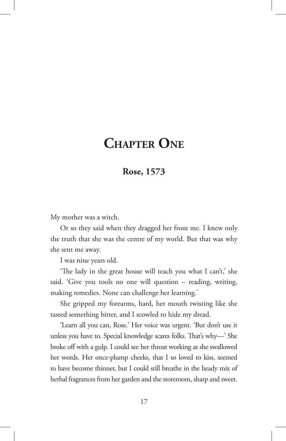### **Chapter One**

#### **Rose, 1573**

My mother was a witch.

Or so they said when they dragged her from me. I knew only the truth that she was the centre of my world. But that was why she sent me away.

I was nine years old.

'The lady in the great house will teach you what I can't,' she said. 'Give you tools no one will question – reading, writing, making remedies. None can challenge her learning.'

She gripped my forearms, hard, her mouth twisting like she tasted something bitter, and I scowled to hide my dread.

'Learn all you can, Rose.' Her voice was urgent. 'But don't use it unless you have to. Special knowledge scares folks. That's why—' She broke off with a gulp. I could see her throat working as she swallowed her words. Her once-plump cheeks, that I so loved to kiss, seemed to have become thinner, but I could still breathe in the heady mix of herbal fragrances from her garden and the storeroom, sharp and sweet.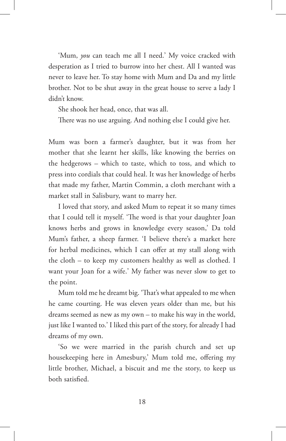'Mum, *you* can teach me all I need.' My voice cracked with desperation as I tried to burrow into her chest. All I wanted was never to leave her. To stay home with Mum and Da and my little brother. Not to be shut away in the great house to serve a lady I didn't know.

She shook her head, once, that was all.

There was no use arguing. And nothing else I could give her.

Mum was born a farmer's daughter, but it was from her mother that she learnt her skills, like knowing the berries on the hedgerows – which to taste, which to toss, and which to press into cordials that could heal. It was her knowledge of herbs that made my father, Martin Commin, a cloth merchant with a market stall in Salisbury, want to marry her.

I loved that story, and asked Mum to repeat it so many times that I could tell it myself. 'The word is that your daughter Joan knows herbs and grows in knowledge every season,' Da told Mum's father, a sheep farmer. 'I believe there's a market here for herbal medicines, which I can offer at my stall along with the cloth – to keep my customers healthy as well as clothed. I want your Joan for a wife.' My father was never slow to get to the point.

Mum told me he dreamt big. 'That's what appealed to me when he came courting. He was eleven years older than me, but his dreams seemed as new as my own – to make his way in the world, just like I wanted to.' I liked this part of the story, for already I had dreams of my own.

'So we were married in the parish church and set up housekeeping here in Amesbury,' Mum told me, offering my little brother, Michael, a biscuit and me the story, to keep us both satisfied.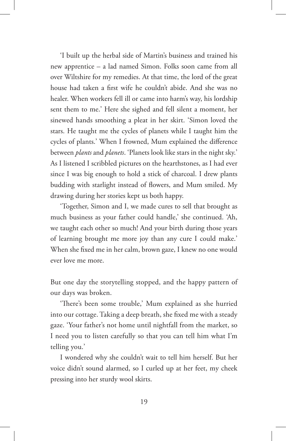'I built up the herbal side of Martin's business and trained his new apprentice – a lad named Simon. Folks soon came from all over Wiltshire for my remedies. At that time, the lord of the great house had taken a first wife he couldn't abide. And she was no healer. When workers fell ill or came into harm's way, his lordship sent them to me.' Here she sighed and fell silent a moment, her sinewed hands smoothing a pleat in her skirt. 'Simon loved the stars. He taught me the cycles of planets while I taught him the cycles of plants.' When I frowned, Mum explained the difference between *plants* and *planets*. 'Planets look like stars in the night sky.' As I listened I scribbled pictures on the hearthstones, as I had ever since I was big enough to hold a stick of charcoal. I drew plants budding with starlight instead of flowers, and Mum smiled. My drawing during her stories kept us both happy.

'Together, Simon and I, we made cures to sell that brought as much business as your father could handle,' she continued. 'Ah, we taught each other so much! And your birth during those years of learning brought me more joy than any cure I could make.' When she fixed me in her calm, brown gaze, I knew no one would ever love me more.

But one day the storytelling stopped, and the happy pattern of our days was broken.

'There's been some trouble,' Mum explained as she hurried into our cottage. Taking a deep breath, she fixed me with a steady gaze. 'Your father's not home until nightfall from the market, so I need you to listen carefully so that you can tell him what I'm telling you.'

I wondered why she couldn't wait to tell him herself. But her voice didn't sound alarmed, so I curled up at her feet, my cheek pressing into her sturdy wool skirts.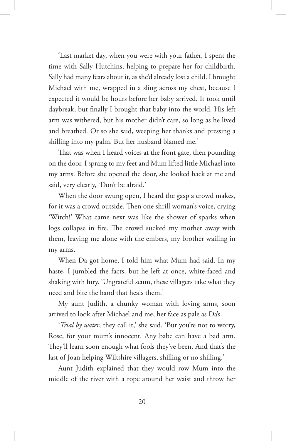'Last market day, when you were with your father, I spent the time with Sally Hutchins, helping to prepare her for childbirth. Sally had many fears about it, as she'd already lost a child. I brought Michael with me, wrapped in a sling across my chest, because I expected it would be hours before her baby arrived. It took until daybreak, but finally I brought that baby into the world. His left arm was withered, but his mother didn't care, so long as he lived and breathed. Or so she said, weeping her thanks and pressing a shilling into my palm. But her husband blamed me.'

That was when I heard voices at the front gate, then pounding on the door. I sprang to my feet and Mum lifted little Michael into my arms. Before she opened the door, she looked back at me and said, very clearly, 'Don't be afraid.'

When the door swung open, I heard the gasp a crowd makes, for it was a crowd outside. Then one shrill woman's voice, crying 'Witch!' What came next was like the shower of sparks when logs collapse in fire. The crowd sucked my mother away with them, leaving me alone with the embers, my brother wailing in my arms.

When Da got home, I told him what Mum had said. In my haste, I jumbled the facts, but he left at once, white-faced and shaking with fury. 'Ungrateful scum, these villagers take what they need and bite the hand that heals them.'

My aunt Judith, a chunky woman with loving arms, soon arrived to look after Michael and me, her face as pale as Da's.

'*Trial by water*, they call it,' she said. 'But you're not to worry, Rose, for your mum's innocent. Any babe can have a bad arm. They'll learn soon enough what fools they've been. And that's the last of Joan helping Wiltshire villagers, shilling or no shilling.'

Aunt Judith explained that they would row Mum into the middle of the river with a rope around her waist and throw her